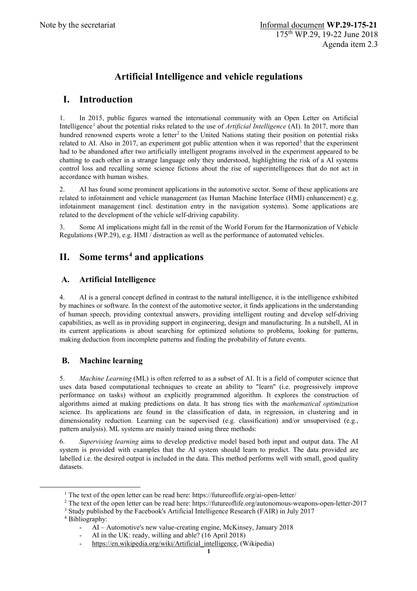# **Artificial Intelligence and vehicle regulations**

## **I. Introduction**

1. In 2015, public figures warned the international community with an Open Letter on Artificial Intelligence<sup>[1](#page-0-0)</sup> about the potential risks related to the use of *Artificial Intelligence* (AI). In 2017, more than hundred renowned experts wrote a letter<sup>[2](#page-0-1)</sup> to the United Nations stating their position on potential risks related to AI. Also in 2017, an experiment got public attention when it was reported<sup>[3](#page-0-2)</sup> that the experiment had to be abandoned after two artificially intelligent programs involved in the experiment appeared to be chatting to each other in a strange language only they understood, highlighting the risk of a AI systems control loss and recalling some science fictions about the rise of superintelligences that do not act in accordance with human wishes.

2. AI has found some prominent applications in the automotive sector. Some of these applications are related to infotainment and vehicle management (as Human Machine Interface (HMI) enhancement) e.g. infotainment management (incl. destination entry in the navigation systems). Some applications are related to the development of the vehicle self-driving capability.

3. Some AI implications might fall in the remit of the World Forum for the Harmonization of Vehicle Regulations (WP.29), e.g. HMI / distraction as well as the performance of automated vehicles.

## **II. Some terms[4](#page-0-3) and applications**

### **A. Artificial Intelligence**

4. AI is a general concept defined in contrast to the natural intelligence, it is the intelligence exhibited by machines or software. In the context of the automotive sector, it finds applications in the understanding of human speech, providing contextual answers, providing intelligent routing and develop self-driving capabilities, as well as in providing support in engineering, design and manufacturing. In a nutshell, AI in its current applications is about searching for optimized solutions to problems, looking for patterns, making deduction from incomplete patterns and finding the probability of future events.

## **B. Machine learning**

5. *Machine Learning* (ML) is often referred to as a subset of AI. It is a field of computer science that uses data based computational techniques to create an ability to "learn" (i.e. progressively improve performance on tasks) without an explicitly programmed algorithm. It explores the construction of algorithms aimed at making predictions on data. It has strong ties with the *mathematical optimization* science. Its applications are found in the classification of data, in regression, in clustering and in dimensionality reduction. Learning can be supervised (e.g. classification) and/or unsupervised (e.g., pattern analysis). ML systems are mainly trained using three methods:

6. *Supervising learning* aims to develop predictive model based both input and output data. The AI system is provided with examples that the AI system should learn to predict. The data provided are labelled i.e. the desired output is included in the data. This method performs well with small, good quality datasets.

 <sup>1</sup> The text of the open letter can be read here: https://futureoflife.org/ai-open-letter/

<span id="page-0-2"></span><span id="page-0-1"></span><span id="page-0-0"></span><sup>2</sup> The text of the open letter can be read here: https://futureoflife.org/autonomous-weapons-open-letter-2017

<sup>3</sup> Study published by the Facebook's Artificial Intelligence Research (FAIR) in July 2017

<span id="page-0-3"></span><sup>4</sup> Bibliography:

<sup>-</sup> AI – Automotive's new value-creating engine, McKinsey, January 2018

AI in the UK: ready, willing and able? (16 April 2018)

[https://en.wikipedia.org/wiki/Artificial\\_intelligence,](https://en.wikipedia.org/wiki/Artificial_intelligence) (Wikipedia)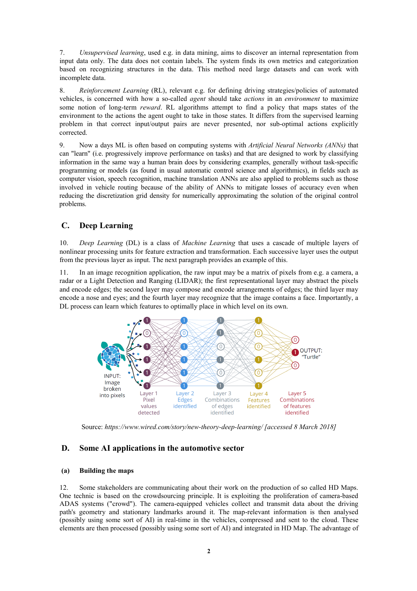7. *Unsupervised learning*, used e.g. in data mining, aims to discover an internal representation from input data only. The data does not contain labels. The system finds its own metrics and categorization based on recognizing structures in the data. This method need large datasets and can work with incomplete data.

8. *Reinforcement Learning* (RL), relevant e.g. for defining driving strategies/policies of automated vehicles, is concerned with how a so-called *agent* should take *actions* in an *environment* to maximize some notion of long-term *reward*. RL algorithms attempt to find a policy that maps states of the environment to the actions the agent ought to take in those states. It differs from the supervised learning problem in that correct input/output pairs are never presented, nor sub-optimal actions explicitly corrected.

9. Now a days ML is often based on computing systems with *Artificial Neural Networks (ANNs)* that can "learn" (i.e. progressively improve performance on tasks) and that are designed to work by classifying information in the same way a human brain does by considering examples, generally without task-specific programming or models (as found in usual automatic control science and algorithmics), in fields such as computer vision, speech recognition, machine translation ANNs are also applied to problems such as those involved in vehicle routing because of the ability of ANNs to mitigate losses of accuracy even when reducing the discretization grid density for numerically approximating the solution of the original control problems.

### **C. Deep Learning**

10. *Deep Learning* (DL) is a class of *Machine Learning* that uses a cascade of multiple layers of nonlinear processing units for feature extraction and transformation. Each successive layer uses the output from the previous layer as input. The next paragraph provides an example of this.

11. In an image recognition application, the raw input may be a matrix of pixels from e.g. a camera, a radar or a Light Detection and Ranging (LIDAR); the first representational layer may abstract the pixels and encode edges; the second layer may compose and encode arrangements of edges; the third layer may encode a nose and eyes; and the fourth layer may recognize that the image contains a face. Importantly, a DL process can learn which features to optimally place in which level on its own.



Source: *https://www.wired.com/story/new-theory-deep-learning/ [accessed 8 March 2018]*

#### **D. Some AI applications in the automotive sector**

#### **(a) Building the maps**

12. Some stakeholders are communicating about their work on the production of so called HD Maps. One technic is based on the crowdsourcing principle. It is exploiting the proliferation of camera-based ADAS systems ("crowd"). The camera-equipped vehicles collect and transmit data about the driving path's geometry and stationary landmarks around it. The map-relevant information is then analysed (possibly using some sort of AI) in real-time in the vehicles, compressed and sent to the cloud. These elements are then processed (possibly using some sort of AI) and integrated in HD Map. The advantage of